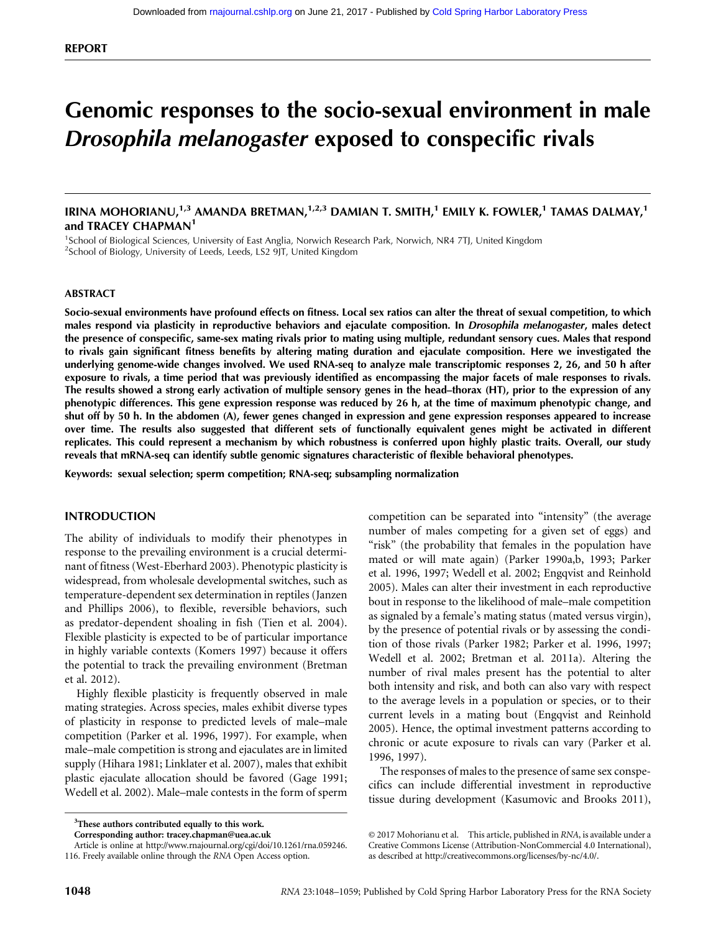# Genomic responses to the socio-sexual environment in male Drosophila melanogaster exposed to conspecific rivals

IRINA MOHORIANU,<sup>1,3</sup> AMANDA BRETMAN,<sup>1,2,3</sup> DAMIAN T. SMITH,<sup>1</sup> EMILY K. FOWLER,<sup>1</sup> TAMAS DALMAY,<sup>1</sup> and TRACEY CHAPMAN<sup>1</sup>

<sup>1</sup>School of Biological Sciences, University of East Anglia, Norwich Research Park, Norwich, NR4 7TJ, United Kingdom <sup>2</sup>School of Biology, University of Leeds, Leeds, LS2 9JT, United Kingdom

#### ABSTRACT

Socio-sexual environments have profound effects on fitness. Local sex ratios can alter the threat of sexual competition, to which males respond via plasticity in reproductive behaviors and ejaculate composition. In Drosophila melanogaster, males detect the presence of conspecific, same-sex mating rivals prior to mating using multiple, redundant sensory cues. Males that respond to rivals gain significant fitness benefits by altering mating duration and ejaculate composition. Here we investigated the underlying genome-wide changes involved. We used RNA-seq to analyze male transcriptomic responses 2, 26, and 50 h after exposure to rivals, a time period that was previously identified as encompassing the major facets of male responses to rivals. The results showed a strong early activation of multiple sensory genes in the head–thorax (HT), prior to the expression of any phenotypic differences. This gene expression response was reduced by 26 h, at the time of maximum phenotypic change, and shut off by 50 h. In the abdomen (A), fewer genes changed in expression and gene expression responses appeared to increase over time. The results also suggested that different sets of functionally equivalent genes might be activated in different replicates. This could represent a mechanism by which robustness is conferred upon highly plastic traits. Overall, our study reveals that mRNA-seq can identify subtle genomic signatures characteristic of flexible behavioral phenotypes.

Keywords: sexual selection; sperm competition; RNA-seq; subsampling normalization

### INTRODUCTION

The ability of individuals to modify their phenotypes in response to the prevailing environment is a crucial determinant of fitness (West-Eberhard 2003). Phenotypic plasticity is widespread, from wholesale developmental switches, such as temperature-dependent sex determination in reptiles (Janzen and Phillips 2006), to flexible, reversible behaviors, such as predator-dependent shoaling in fish (Tien et al. 2004). Flexible plasticity is expected to be of particular importance in highly variable contexts (Komers 1997) because it offers the potential to track the prevailing environment (Bretman et al. 2012).

Highly flexible plasticity is frequently observed in male mating strategies. Across species, males exhibit diverse types of plasticity in response to predicted levels of male–male competition (Parker et al. 1996, 1997). For example, when male–male competition is strong and ejaculates are in limited supply (Hihara 1981; Linklater et al. 2007), males that exhibit plastic ejaculate allocation should be favored (Gage 1991; Wedell et al. 2002). Male–male contests in the form of sperm

<sup>3</sup>These authors contributed equally to this work.

competition can be separated into "intensity" (the average number of males competing for a given set of eggs) and "risk" (the probability that females in the population have mated or will mate again) (Parker 1990a,b, 1993; Parker et al. 1996, 1997; Wedell et al. 2002; Engqvist and Reinhold 2005). Males can alter their investment in each reproductive bout in response to the likelihood of male–male competition as signaled by a female's mating status (mated versus virgin), by the presence of potential rivals or by assessing the condition of those rivals (Parker 1982; Parker et al. 1996, 1997; Wedell et al. 2002; Bretman et al. 2011a). Altering the number of rival males present has the potential to alter both intensity and risk, and both can also vary with respect to the average levels in a population or species, or to their current levels in a mating bout (Engqvist and Reinhold 2005). Hence, the optimal investment patterns according to chronic or acute exposure to rivals can vary (Parker et al. 1996, 1997).

The responses of males to the presence of same sex conspecifics can include differential investment in reproductive tissue during development (Kasumovic and Brooks 2011),

Corresponding author: [tracey.chapman@uea.ac.uk](mailto:tracey.chapman@uea.ac.uk)

Article is online at [http://www.rnajournal.org/cgi/doi/10.1261/rna.059246.](http://www.rnajournal.org/cgi/doi/10.1261/rna.059246.116) [116](http://www.rnajournal.org/cgi/doi/10.1261/rna.059246.116). Freely available online through the RNA Open Access option.

[<sup>© 2017</sup> Mohorianu et al.](http://www.rnajournal.org/site/misc/terms.xhtml) This article, published in RNA, is available under a Creative Commons License (Attribution-NonCommercial 4.0 International), as described at [http://creativecommons.org/licenses/by-nc/4.0/.](http://creativecommons.org/licenses/by-nc/4.0/)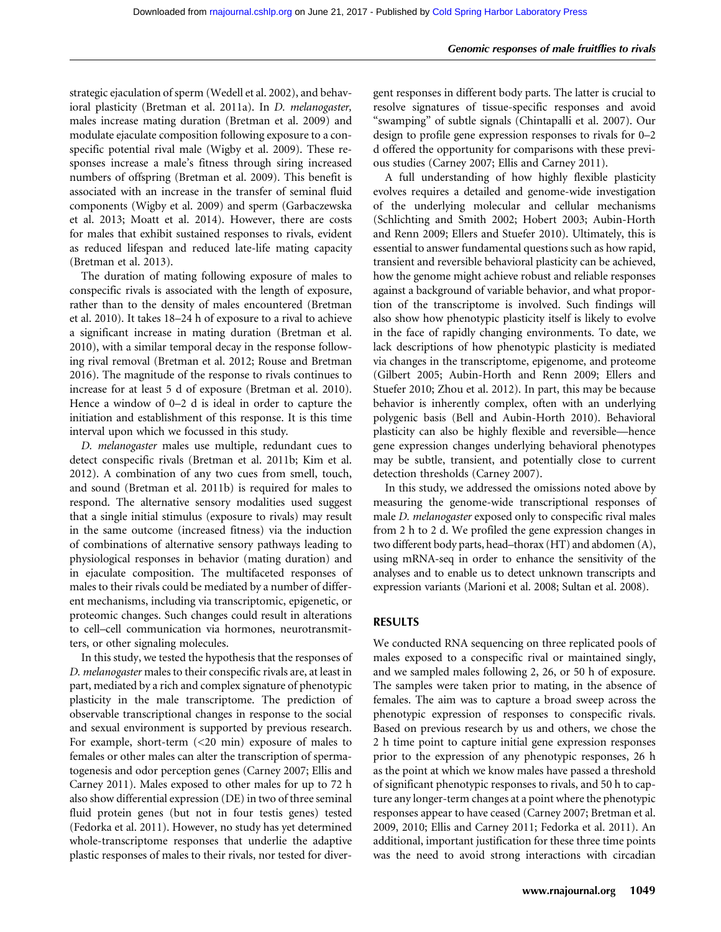strategic ejaculation of sperm (Wedell et al. 2002), and behavioral plasticity (Bretman et al. 2011a). In D. melanogaster, males increase mating duration (Bretman et al. 2009) and modulate ejaculate composition following exposure to a conspecific potential rival male (Wigby et al. 2009). These responses increase a male's fitness through siring increased numbers of offspring (Bretman et al. 2009). This benefit is associated with an increase in the transfer of seminal fluid components (Wigby et al. 2009) and sperm (Garbaczewska et al. 2013; Moatt et al. 2014). However, there are costs for males that exhibit sustained responses to rivals, evident as reduced lifespan and reduced late-life mating capacity (Bretman et al. 2013).

The duration of mating following exposure of males to conspecific rivals is associated with the length of exposure, rather than to the density of males encountered (Bretman et al. 2010). It takes 18–24 h of exposure to a rival to achieve a significant increase in mating duration (Bretman et al. 2010), with a similar temporal decay in the response following rival removal (Bretman et al. 2012; Rouse and Bretman 2016). The magnitude of the response to rivals continues to increase for at least 5 d of exposure (Bretman et al. 2010). Hence a window of 0–2 d is ideal in order to capture the initiation and establishment of this response. It is this time interval upon which we focussed in this study.

D. melanogaster males use multiple, redundant cues to detect conspecific rivals (Bretman et al. 2011b; Kim et al. 2012). A combination of any two cues from smell, touch, and sound (Bretman et al. 2011b) is required for males to respond. The alternative sensory modalities used suggest that a single initial stimulus (exposure to rivals) may result in the same outcome (increased fitness) via the induction of combinations of alternative sensory pathways leading to physiological responses in behavior (mating duration) and in ejaculate composition. The multifaceted responses of males to their rivals could be mediated by a number of different mechanisms, including via transcriptomic, epigenetic, or proteomic changes. Such changes could result in alterations to cell–cell communication via hormones, neurotransmitters, or other signaling molecules.

In this study, we tested the hypothesis that the responses of D. melanogaster males to their conspecific rivals are, at least in part, mediated by a rich and complex signature of phenotypic plasticity in the male transcriptome. The prediction of observable transcriptional changes in response to the social and sexual environment is supported by previous research. For example, short-term (<20 min) exposure of males to females or other males can alter the transcription of spermatogenesis and odor perception genes (Carney 2007; Ellis and Carney 2011). Males exposed to other males for up to 72 h also show differential expression (DE) in two of three seminal fluid protein genes (but not in four testis genes) tested (Fedorka et al. 2011). However, no study has yet determined whole-transcriptome responses that underlie the adaptive plastic responses of males to their rivals, nor tested for divergent responses in different body parts. The latter is crucial to resolve signatures of tissue-specific responses and avoid "swamping" of subtle signals (Chintapalli et al. 2007). Our design to profile gene expression responses to rivals for 0–2 d offered the opportunity for comparisons with these previous studies (Carney 2007; Ellis and Carney 2011).

A full understanding of how highly flexible plasticity evolves requires a detailed and genome-wide investigation of the underlying molecular and cellular mechanisms (Schlichting and Smith 2002; Hobert 2003; Aubin-Horth and Renn 2009; Ellers and Stuefer 2010). Ultimately, this is essential to answer fundamental questions such as how rapid, transient and reversible behavioral plasticity can be achieved, how the genome might achieve robust and reliable responses against a background of variable behavior, and what proportion of the transcriptome is involved. Such findings will also show how phenotypic plasticity itself is likely to evolve in the face of rapidly changing environments. To date, we lack descriptions of how phenotypic plasticity is mediated via changes in the transcriptome, epigenome, and proteome (Gilbert 2005; Aubin-Horth and Renn 2009; Ellers and Stuefer 2010; Zhou et al. 2012). In part, this may be because behavior is inherently complex, often with an underlying polygenic basis (Bell and Aubin-Horth 2010). Behavioral plasticity can also be highly flexible and reversible—hence gene expression changes underlying behavioral phenotypes may be subtle, transient, and potentially close to current detection thresholds (Carney 2007).

In this study, we addressed the omissions noted above by measuring the genome-wide transcriptional responses of male D. melanogaster exposed only to conspecific rival males from 2 h to 2 d. We profiled the gene expression changes in two different body parts, head–thorax (HT) and abdomen (A), using mRNA-seq in order to enhance the sensitivity of the analyses and to enable us to detect unknown transcripts and expression variants (Marioni et al. 2008; Sultan et al. 2008).

## RESULTS

We conducted RNA sequencing on three replicated pools of males exposed to a conspecific rival or maintained singly, and we sampled males following 2, 26, or 50 h of exposure. The samples were taken prior to mating, in the absence of females. The aim was to capture a broad sweep across the phenotypic expression of responses to conspecific rivals. Based on previous research by us and others, we chose the 2 h time point to capture initial gene expression responses prior to the expression of any phenotypic responses, 26 h as the point at which we know males have passed a threshold of significant phenotypic responses to rivals, and 50 h to capture any longer-term changes at a point where the phenotypic responses appear to have ceased (Carney 2007; Bretman et al. 2009, 2010; Ellis and Carney 2011; Fedorka et al. 2011). An additional, important justification for these three time points was the need to avoid strong interactions with circadian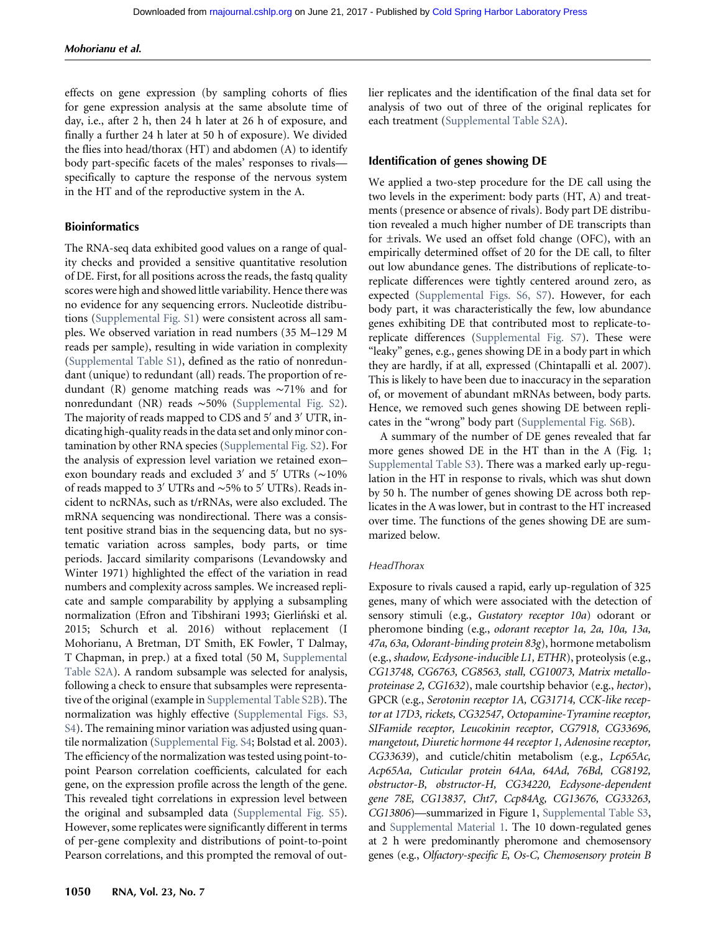effects on gene expression (by sampling cohorts of flies for gene expression analysis at the same absolute time of day, i.e., after 2 h, then 24 h later at 26 h of exposure, and finally a further 24 h later at 50 h of exposure). We divided the flies into head/thorax (HT) and abdomen (A) to identify body part-specific facets of the males' responses to rivals specifically to capture the response of the nervous system in the HT and of the reproductive system in the A.

### Bioinformatics

The RNA-seq data exhibited good values on a range of quality checks and provided a sensitive quantitative resolution of DE. First, for all positions across the reads, the fastq quality scores were high and showed little variability. Hence there was no evidence for any sequencing errors. Nucleotide distributions [\(Supplemental Fig. S1\)](http://www.rnajournal.org/lookup/suppl/doi:10.1261/rna.059246.116/-/DC1) were consistent across all samples. We observed variation in read numbers (35 M–129 M reads per sample), resulting in wide variation in complexity ([Supplemental Table S1\)](http://www.rnajournal.org/lookup/suppl/doi:10.1261/rna.059246.116/-/DC1), defined as the ratio of nonredundant (unique) to redundant (all) reads. The proportion of redundant (R) genome matching reads was ∼71% and for nonredundant (NR) reads ∼50% ([Supplemental Fig. S2\)](http://www.rnajournal.org/lookup/suppl/doi:10.1261/rna.059246.116/-/DC1). The majority of reads mapped to CDS and 5' and 3' UTR, indicating high-quality reads in the data set and only minor contamination by other RNA species [\(Supplemental Fig. S2](http://www.rnajournal.org/lookup/suppl/doi:10.1261/rna.059246.116/-/DC1)). For the analysis of expression level variation we retained exon– exon boundary reads and excluded 3′ and 5′ UTRs (∼10% of reads mapped to 3′ UTRs and ∼5% to 5′ UTRs). Reads incident to ncRNAs, such as t/rRNAs, were also excluded. The mRNA sequencing was nondirectional. There was a consistent positive strand bias in the sequencing data, but no systematic variation across samples, body parts, or time periods. Jaccard similarity comparisons (Levandowsky and Winter 1971) highlighted the effect of the variation in read numbers and complexity across samples. We increased replicate and sample comparability by applying a subsampling normalization (Efron and Tibshirani 1993; Gierliński et al. 2015; Schurch et al. 2016) without replacement (I Mohorianu, A Bretman, DT Smith, EK Fowler, T Dalmay, T Chapman, in prep.) at a fixed total (50 M, [Supplemental](http://www.rnajournal.org/lookup/suppl/doi:10.1261/rna.059246.116/-/DC1) [Table S2A](http://www.rnajournal.org/lookup/suppl/doi:10.1261/rna.059246.116/-/DC1)). A random subsample was selected for analysis, following a check to ensure that subsamples were representative of the original (example in [Supplemental Table S2B\)](http://www.rnajournal.org/lookup/suppl/doi:10.1261/rna.059246.116/-/DC1). The normalization was highly effective [\(Supplemental Figs. S3,](http://www.rnajournal.org/lookup/suppl/doi:10.1261/rna.059246.116/-/DC1) [S4\)](http://www.rnajournal.org/lookup/suppl/doi:10.1261/rna.059246.116/-/DC1). The remaining minor variation was adjusted using quantile normalization [\(Supplemental Fig. S4;](http://www.rnajournal.org/lookup/suppl/doi:10.1261/rna.059246.116/-/DC1) Bolstad et al. 2003). The efficiency of the normalization was tested using point-topoint Pearson correlation coefficients, calculated for each gene, on the expression profile across the length of the gene. This revealed tight correlations in expression level between the original and subsampled data ([Supplemental Fig. S5\)](http://www.rnajournal.org/lookup/suppl/doi:10.1261/rna.059246.116/-/DC1). However, some replicates were significantly different in terms of per-gene complexity and distributions of point-to-point Pearson correlations, and this prompted the removal of out-

1050 RNA, Vol. 23, No. 7

lier replicates and the identification of the final data set for analysis of two out of three of the original replicates for each treatment [\(Supplemental Table S2A](http://www.rnajournal.org/lookup/suppl/doi:10.1261/rna.059246.116/-/DC1)).

### Identification of genes showing DE

We applied a two-step procedure for the DE call using the two levels in the experiment: body parts (HT, A) and treatments (presence or absence of rivals). Body part DE distribution revealed a much higher number of DE transcripts than for ±rivals. We used an offset fold change (OFC), with an empirically determined offset of 20 for the DE call, to filter out low abundance genes. The distributions of replicate-toreplicate differences were tightly centered around zero, as expected [\(Supplemental Figs. S6, S7\)](http://www.rnajournal.org/lookup/suppl/doi:10.1261/rna.059246.116/-/DC1). However, for each body part, it was characteristically the few, low abundance genes exhibiting DE that contributed most to replicate-toreplicate differences [\(Supplemental Fig. S7](http://www.rnajournal.org/lookup/suppl/doi:10.1261/rna.059246.116/-/DC1)). These were "leaky" genes, e.g., genes showing DE in a body part in which they are hardly, if at all, expressed (Chintapalli et al. 2007). This is likely to have been due to inaccuracy in the separation of, or movement of abundant mRNAs between, body parts. Hence, we removed such genes showing DE between replicates in the "wrong" body part [\(Supplemental Fig. S6B](http://www.rnajournal.org/lookup/suppl/doi:10.1261/rna.059246.116/-/DC1)).

A summary of the number of DE genes revealed that far more genes showed DE in the HT than in the A (Fig. 1; [Supplemental Table S3\)](http://www.rnajournal.org/lookup/suppl/doi:10.1261/rna.059246.116/-/DC1). There was a marked early up-regulation in the HT in response to rivals, which was shut down by 50 h. The number of genes showing DE across both replicates in the A was lower, but in contrast to the HT increased over time. The functions of the genes showing DE are summarized below.

#### **HeadThorax**

Exposure to rivals caused a rapid, early up-regulation of 325 genes, many of which were associated with the detection of sensory stimuli (e.g., Gustatory receptor 10a) odorant or pheromone binding (e.g., odorant receptor 1a, 2a, 10a, 13a, 47a, 63a, Odorant-binding protein 83g), hormone metabolism (e.g., shadow, Ecdysone-inducible L1, ETHR), proteolysis (e.g., CG13748, CG6763, CG8563, stall, CG10073, Matrix metalloproteinase 2, CG1632), male courtship behavior (e.g., hector), GPCR (e.g., Serotonin receptor 1A, CG31714, CCK-like receptor at 17D3, rickets, CG32547, Octopamine-Tyramine receptor, SIFamide receptor, Leucokinin receptor, CG7918, CG33696, mangetout, Diuretic hormone 44 receptor 1, Adenosine receptor, CG33639), and cuticle/chitin metabolism (e.g., Lcp65Ac, Acp65Aa, Cuticular protein 64Aa, 64Ad, 76Bd, CG8192, obstructor-B, obstructor-H, CG34220, Ecdysone-dependent gene 78E, CG13837, Cht7, Ccp84Ag, CG13676, CG33263, CG13806)—summarized in Figure 1, [Supplemental Table S3,](http://www.rnajournal.org/lookup/suppl/doi:10.1261/rna.059246.116/-/DC1) and [Supplemental Material 1.](http://www.rnajournal.org/lookup/suppl/doi:10.1261/rna.059246.116/-/DC1) The 10 down-regulated genes at 2 h were predominantly pheromone and chemosensory genes (e.g., Olfactory-specific E, Os-C, Chemosensory protein B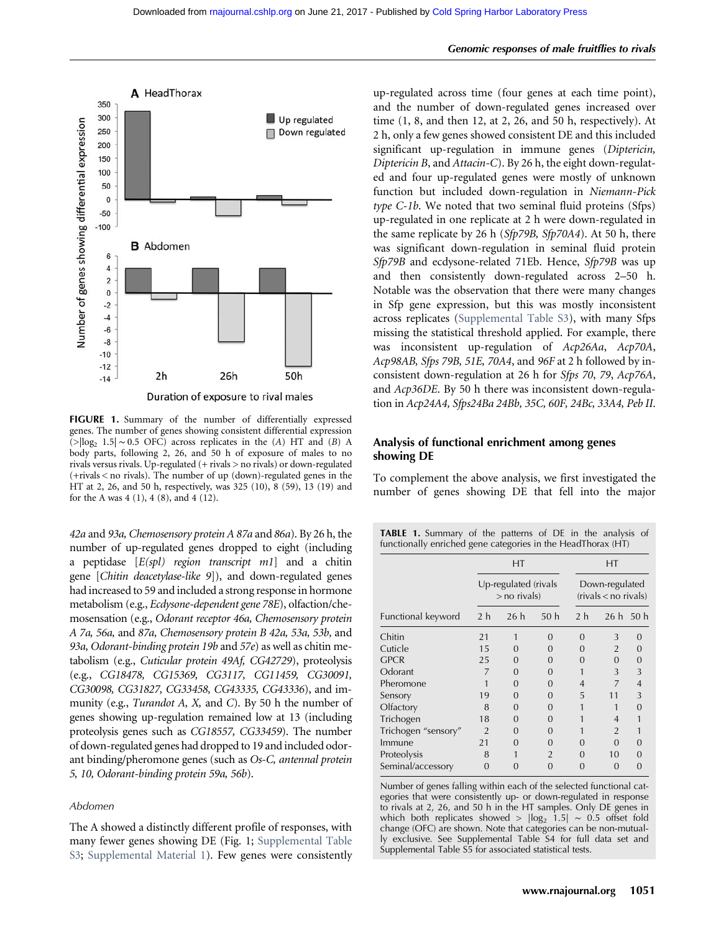

FIGURE 1. Summary of the number of differentially expressed genes. The number of genes showing consistent differential expression  $(>|log<sub>2</sub> 1.5| \sim 0.5$  OFC) across replicates in the (A) HT and (B) A body parts, following 2, 26, and 50 h of exposure of males to no rivals versus rivals. Up-regulated (+ rivals > no rivals) or down-regulated  $(+$ rivals  $\leq$  no rivals). The number of up (down)-regulated genes in the HT at 2, 26, and 50 h, respectively, was 325 (10), 8 (59), 13 (19) and for the A was 4 (1), 4 (8), and 4 (12).

42a and 93a, Chemosensory protein A 87a and 86a). By 26 h, the number of up-regulated genes dropped to eight (including a peptidase  $[E(spl)$  region transcript m1] and a chitin gene [Chitin deacetylase-like 9]), and down-regulated genes had increased to 59 and included a strong response in hormone metabolism (e.g., Ecdysone-dependent gene 78E), olfaction/chemosensation (e.g., Odorant receptor 46a, Chemosensory protein A 7a, 56a, and 87a, Chemosensory protein B 42a, 53a, 53b, and 93a, Odorant-binding protein 19b and 57e) as well as chitin metabolism (e.g., Cuticular protein 49Af, CG42729), proteolysis (e.g., CG18478, CG15369, CG3117, CG11459, CG30091, CG30098, CG31827, CG33458, CG43335, CG43336), and immunity (e.g., *Turandot A, X,* and C). By 50 h the number of genes showing up-regulation remained low at 13 (including proteolysis genes such as CG18557, CG33459). The number of down-regulated genes had dropped to 19 and included odorant binding/pheromone genes (such as Os-C, antennal protein 5, 10, Odorant-binding protein 59a, 56b).

#### Abdomen

The A showed a distinctly different profile of responses, with many fewer genes showing DE (Fig. 1; [Supplemental Table](http://www.rnajournal.org/lookup/suppl/doi:10.1261/rna.059246.116/-/DC1) [S3](http://www.rnajournal.org/lookup/suppl/doi:10.1261/rna.059246.116/-/DC1); [Supplemental Material 1\)](http://www.rnajournal.org/lookup/suppl/doi:10.1261/rna.059246.116/-/DC1). Few genes were consistently

up-regulated across time (four genes at each time point), and the number of down-regulated genes increased over time (1, 8, and then 12, at 2, 26, and 50 h, respectively). At 2 h, only a few genes showed consistent DE and this included significant up-regulation in immune genes (Diptericin, Diptericin B, and Attacin-C). By 26 h, the eight down-regulated and four up-regulated genes were mostly of unknown function but included down-regulation in Niemann-Pick type C-1b. We noted that two seminal fluid proteins (Sfps) up-regulated in one replicate at 2 h were down-regulated in the same replicate by 26 h (Sfp79B, Sfp70A4). At 50 h, there was significant down-regulation in seminal fluid protein Sfp79B and ecdysone-related 71Eb. Hence, Sfp79B was up and then consistently down-regulated across 2–50 h. Notable was the observation that there were many changes in Sfp gene expression, but this was mostly inconsistent across replicates [\(Supplemental Table S3](http://www.rnajournal.org/lookup/suppl/doi:10.1261/rna.059246.116/-/DC1)), with many Sfps missing the statistical threshold applied. For example, there was inconsistent up-regulation of Acp26Aa, Acp70A, Acp98AB, Sfps 79B, 51E, 70A4, and 96F at 2 h followed by inconsistent down-regulation at 26 h for Sfps 70, 79, Acp76A, and Acp36DE. By 50 h there was inconsistent down-regulation in Acp24A4, Sfps24Ba 24Bb, 35C, 60F, 24Bc, 33A4, Peb II.

## Analysis of functional enrichment among genes showing DE

To complement the above analysis, we first investigated the number of genes showing DE that fell into the major

|                     | HT<br>$Up$ -regulated (rivals<br>$>$ no rivals) |               |                | НT<br>Down-regulated<br>$(rivals < no$ rivals) |                |                   |
|---------------------|-------------------------------------------------|---------------|----------------|------------------------------------------------|----------------|-------------------|
|                     |                                                 |               |                |                                                |                |                   |
| Functional keyword  | 2 <sub>h</sub>                                  | 26h           | 50h            | 2 h                                            | $26 h$ 50 h    |                   |
| Chitin              | 21                                              | 1             | 0              | 0                                              | 3              | $\left( \right)$  |
| Cuticle             | 1.5                                             | O             | $\mathbf{I}$   | $\mathbf{I}$                                   | $\overline{2}$ | $\mathcal{L}$     |
| <b>GPCR</b>         | 25                                              | 0             | $\mathcal{L}$  | 0                                              | $\Omega$       | 0                 |
| Odorant             | 7                                               | 0             | 0              |                                                | 3              | 3                 |
| Pheromone           |                                                 | $\Omega$      | 0              | 4                                              | 7              | $\overline{4}$    |
| Sensory             | 19                                              | 0             | 0              | 5                                              | 11             | 3                 |
| Olfactory           | 8                                               | 0             | 0              |                                                | 1              | $\Omega$          |
| Trichogen           | 18                                              | 0             | 0              |                                                | 4              | 1                 |
| Trichogen "sensory" | $\mathcal{P}$                                   | O             | 0              |                                                | $\overline{2}$ |                   |
| Immune              | 21                                              | $\Omega$      | 0              | 0                                              | $\Omega$       | O                 |
| Proteolysis         | 8                                               |               | $\mathfrak{D}$ | 0                                              | 10             | $\mathbf{\Omega}$ |
| Seminal/accessory   | 0                                               | $\mathcal{L}$ | 0              | 0                                              | 0              | O                 |

Number of genes falling within each of the selected functional categories that were consistently up- or down-regulated in response to rivals at 2, 26, and 50 h in the HT samples. Only DE genes in which both replicates showed >  $|\log_2 1.5| \sim 0.5$  offset fold change (OFC) are shown. Note that categories can be non-mutually exclusive. See Supplemental Table S4 for full data set and Supplemental Table S5 for associated statistical tests.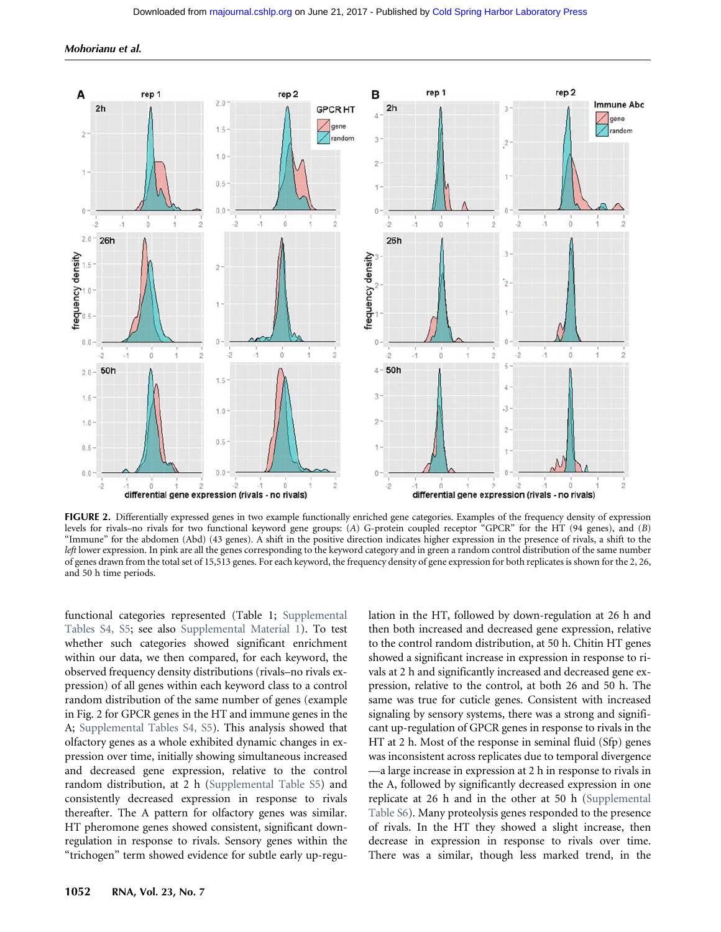

FIGURE 2. Differentially expressed genes in two example functionally enriched gene categories. Examples of the frequency density of expression levels for rivals–no rivals for two functional keyword gene groups: (A) G-protein coupled receptor "GPCR" for the HT (94 genes), and (B) "Immune" for the abdomen (Abd) (43 genes). A shift in the positive direction indicates higher expression in the presence of rivals, a shift to the left lower expression. In pink are all the genes corresponding to the keyword category and in green a random control distribution of the same number of genes drawn from the total set of 15,513 genes. For each keyword, the frequency density of gene expression for both replicates is shown for the 2, 26, and 50 h time periods.

functional categories represented (Table 1; [Supplemental](http://www.rnajournal.org/lookup/suppl/doi:10.1261/rna.059246.116/-/DC1) [Tables S4, S5;](http://www.rnajournal.org/lookup/suppl/doi:10.1261/rna.059246.116/-/DC1) see also [Supplemental Material 1](http://www.rnajournal.org/lookup/suppl/doi:10.1261/rna.059246.116/-/DC1)). To test whether such categories showed significant enrichment within our data, we then compared, for each keyword, the observed frequency density distributions (rivals–no rivals expression) of all genes within each keyword class to a control random distribution of the same number of genes (example in Fig. 2 for GPCR genes in the HT and immune genes in the A; [Supplemental Tables S4, S5](http://www.rnajournal.org/lookup/suppl/doi:10.1261/rna.059246.116/-/DC1)). This analysis showed that olfactory genes as a whole exhibited dynamic changes in expression over time, initially showing simultaneous increased and decreased gene expression, relative to the control random distribution, at 2 h ([Supplemental Table S5](http://www.rnajournal.org/lookup/suppl/doi:10.1261/rna.059246.116/-/DC1)) and consistently decreased expression in response to rivals thereafter. The A pattern for olfactory genes was similar. HT pheromone genes showed consistent, significant downregulation in response to rivals. Sensory genes within the "trichogen" term showed evidence for subtle early up-regulation in the HT, followed by down-regulation at 26 h and then both increased and decreased gene expression, relative to the control random distribution, at 50 h. Chitin HT genes showed a significant increase in expression in response to rivals at 2 h and significantly increased and decreased gene expression, relative to the control, at both 26 and 50 h. The same was true for cuticle genes. Consistent with increased signaling by sensory systems, there was a strong and significant up-regulation of GPCR genes in response to rivals in the HT at 2 h. Most of the response in seminal fluid (Sfp) genes was inconsistent across replicates due to temporal divergence —a large increase in expression at 2 h in response to rivals in the A, followed by significantly decreased expression in one replicate at 26 h and in the other at 50 h [\(Supplemental](http://www.rnajournal.org/lookup/suppl/doi:10.1261/rna.059246.116/-/DC1) [Table S6\)](http://www.rnajournal.org/lookup/suppl/doi:10.1261/rna.059246.116/-/DC1). Many proteolysis genes responded to the presence of rivals. In the HT they showed a slight increase, then decrease in expression in response to rivals over time. There was a similar, though less marked trend, in the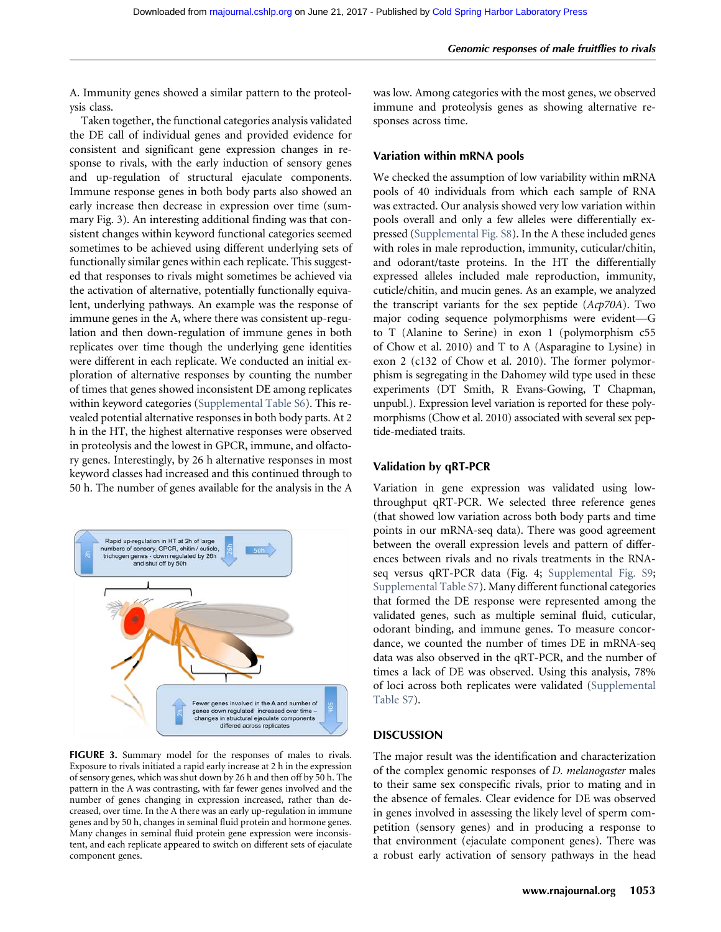A. Immunity genes showed a similar pattern to the proteolysis class.

Taken together, the functional categories analysis validated the DE call of individual genes and provided evidence for consistent and significant gene expression changes in response to rivals, with the early induction of sensory genes and up-regulation of structural ejaculate components. Immune response genes in both body parts also showed an early increase then decrease in expression over time (summary Fig. 3). An interesting additional finding was that consistent changes within keyword functional categories seemed sometimes to be achieved using different underlying sets of functionally similar genes within each replicate. This suggested that responses to rivals might sometimes be achieved via the activation of alternative, potentially functionally equivalent, underlying pathways. An example was the response of immune genes in the A, where there was consistent up-regulation and then down-regulation of immune genes in both replicates over time though the underlying gene identities were different in each replicate. We conducted an initial exploration of alternative responses by counting the number of times that genes showed inconsistent DE among replicates within keyword categories [\(Supplemental Table S6](http://www.rnajournal.org/lookup/suppl/doi:10.1261/rna.059246.116/-/DC1)). This revealed potential alternative responses in both body parts. At 2 h in the HT, the highest alternative responses were observed in proteolysis and the lowest in GPCR, immune, and olfactory genes. Interestingly, by 26 h alternative responses in most keyword classes had increased and this continued through to 50 h. The number of genes available for the analysis in the A



FIGURE 3. Summary model for the responses of males to rivals. Exposure to rivals initiated a rapid early increase at 2 h in the expression of sensory genes, which was shut down by 26 h and then off by 50 h. The pattern in the A was contrasting, with far fewer genes involved and the number of genes changing in expression increased, rather than decreased, over time. In the A there was an early up-regulation in immune genes and by 50 h, changes in seminal fluid protein and hormone genes. Many changes in seminal fluid protein gene expression were inconsistent, and each replicate appeared to switch on different sets of ejaculate component genes.

was low. Among categories with the most genes, we observed immune and proteolysis genes as showing alternative responses across time.

### Variation within mRNA pools

We checked the assumption of low variability within mRNA pools of 40 individuals from which each sample of RNA was extracted. Our analysis showed very low variation within pools overall and only a few alleles were differentially expressed [\(Supplemental Fig. S8\)](http://www.rnajournal.org/lookup/suppl/doi:10.1261/rna.059246.116/-/DC1). In the A these included genes with roles in male reproduction, immunity, cuticular/chitin, and odorant/taste proteins. In the HT the differentially expressed alleles included male reproduction, immunity, cuticle/chitin, and mucin genes. As an example, we analyzed the transcript variants for the sex peptide (Acp70A). Two major coding sequence polymorphisms were evident—G to T (Alanine to Serine) in exon 1 (polymorphism c55 of Chow et al. 2010) and T to A (Asparagine to Lysine) in exon 2 (c132 of Chow et al. 2010). The former polymorphism is segregating in the Dahomey wild type used in these experiments (DT Smith, R Evans-Gowing, T Chapman, unpubl.). Expression level variation is reported for these polymorphisms (Chow et al. 2010) associated with several sex peptide-mediated traits.

## Validation by qRT-PCR

Variation in gene expression was validated using lowthroughput qRT-PCR. We selected three reference genes (that showed low variation across both body parts and time points in our mRNA-seq data). There was good agreement between the overall expression levels and pattern of differences between rivals and no rivals treatments in the RNAseq versus qRT-PCR data (Fig. 4; [Supplemental Fig. S9;](http://www.rnajournal.org/lookup/suppl/doi:10.1261/rna.059246.116/-/DC1) [Supplemental Table S7\)](http://www.rnajournal.org/lookup/suppl/doi:10.1261/rna.059246.116/-/DC1). Many different functional categories that formed the DE response were represented among the validated genes, such as multiple seminal fluid, cuticular, odorant binding, and immune genes. To measure concordance, we counted the number of times DE in mRNA-seq data was also observed in the qRT-PCR, and the number of times a lack of DE was observed. Using this analysis, 78% of loci across both replicates were validated [\(Supplemental](http://www.rnajournal.org/lookup/suppl/doi:10.1261/rna.059246.116/-/DC1) [Table S7](http://www.rnajournal.org/lookup/suppl/doi:10.1261/rna.059246.116/-/DC1)).

### DISCUSSION

The major result was the identification and characterization of the complex genomic responses of D. melanogaster males to their same sex conspecific rivals, prior to mating and in the absence of females. Clear evidence for DE was observed in genes involved in assessing the likely level of sperm competition (sensory genes) and in producing a response to that environment (ejaculate component genes). There was a robust early activation of sensory pathways in the head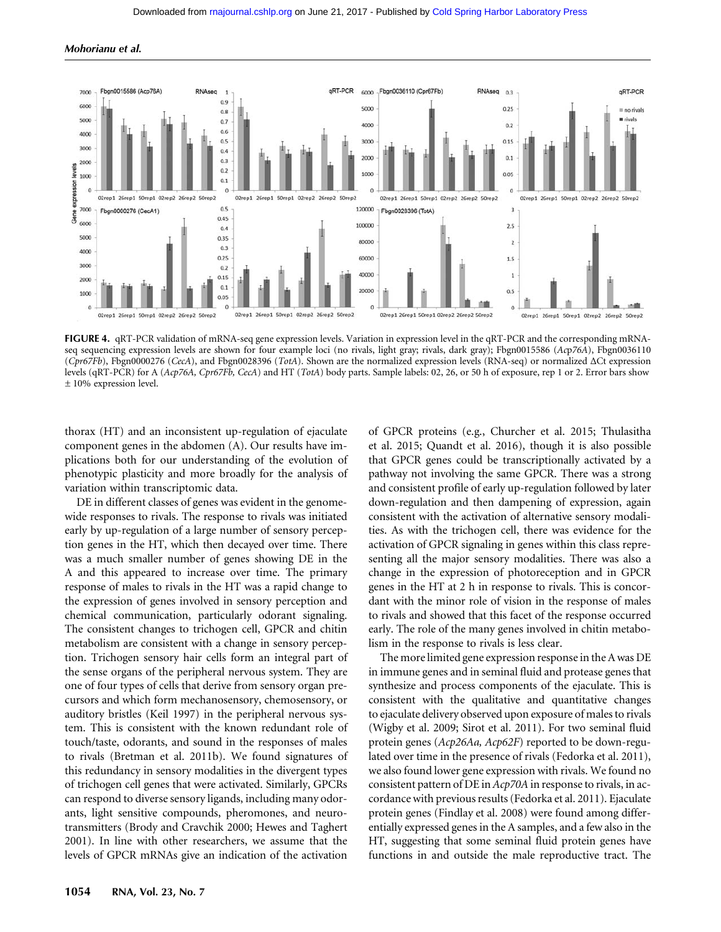Mohorianu et al.



FIGURE 4. qRT-PCR validation of mRNA-seq gene expression levels. Variation in expression level in the qRT-PCR and the corresponding mRNAseq sequencing expression levels are shown for four example loci (no rivals, light gray; rivals, dark gray); Fbgn0015586 (Acp76A), Fbgn0036110 (Cpr67Fb), Fbgn0000276 (CecA), and Fbgn0028396 (TotA). Shown are the normalized expression levels (RNA-seq) or normalized ΔCt expression levels (qRT-PCR) for A (Acp76A, Cpr67Fb, CecA) and HT (TotA) body parts. Sample labels: 02, 26, or 50 h of exposure, rep 1 or 2. Error bars show ± 10% expression level.

thorax (HT) and an inconsistent up-regulation of ejaculate component genes in the abdomen (A). Our results have implications both for our understanding of the evolution of phenotypic plasticity and more broadly for the analysis of variation within transcriptomic data.

DE in different classes of genes was evident in the genomewide responses to rivals. The response to rivals was initiated early by up-regulation of a large number of sensory perception genes in the HT, which then decayed over time. There was a much smaller number of genes showing DE in the A and this appeared to increase over time. The primary response of males to rivals in the HT was a rapid change to the expression of genes involved in sensory perception and chemical communication, particularly odorant signaling. The consistent changes to trichogen cell, GPCR and chitin metabolism are consistent with a change in sensory perception. Trichogen sensory hair cells form an integral part of the sense organs of the peripheral nervous system. They are one of four types of cells that derive from sensory organ precursors and which form mechanosensory, chemosensory, or auditory bristles (Keil 1997) in the peripheral nervous system. This is consistent with the known redundant role of touch/taste, odorants, and sound in the responses of males to rivals (Bretman et al. 2011b). We found signatures of this redundancy in sensory modalities in the divergent types of trichogen cell genes that were activated. Similarly, GPCRs can respond to diverse sensory ligands, including many odorants, light sensitive compounds, pheromones, and neurotransmitters (Brody and Cravchik 2000; Hewes and Taghert 2001). In line with other researchers, we assume that the levels of GPCR mRNAs give an indication of the activation

of GPCR proteins (e.g., Churcher et al. 2015; Thulasitha et al. 2015; Quandt et al. 2016), though it is also possible that GPCR genes could be transcriptionally activated by a pathway not involving the same GPCR. There was a strong and consistent profile of early up-regulation followed by later down-regulation and then dampening of expression, again consistent with the activation of alternative sensory modalities. As with the trichogen cell, there was evidence for the activation of GPCR signaling in genes within this class representing all the major sensory modalities. There was also a change in the expression of photoreception and in GPCR genes in the HT at 2 h in response to rivals. This is concordant with the minor role of vision in the response of males to rivals and showed that this facet of the response occurred early. The role of the many genes involved in chitin metabolism in the response to rivals is less clear.

The more limited gene expression response in the A was DE in immune genes and in seminal fluid and protease genes that synthesize and process components of the ejaculate. This is consistent with the qualitative and quantitative changes to ejaculate delivery observed upon exposure of males to rivals (Wigby et al. 2009; Sirot et al. 2011). For two seminal fluid protein genes (Acp26Aa, Acp62F) reported to be down-regulated over time in the presence of rivals (Fedorka et al. 2011), we also found lower gene expression with rivals. We found no consistent pattern of DE in Acp70A in response to rivals, in accordance with previous results (Fedorka et al. 2011). Ejaculate protein genes (Findlay et al. 2008) were found among differentially expressed genes in the A samples, and a few also in the HT, suggesting that some seminal fluid protein genes have functions in and outside the male reproductive tract. The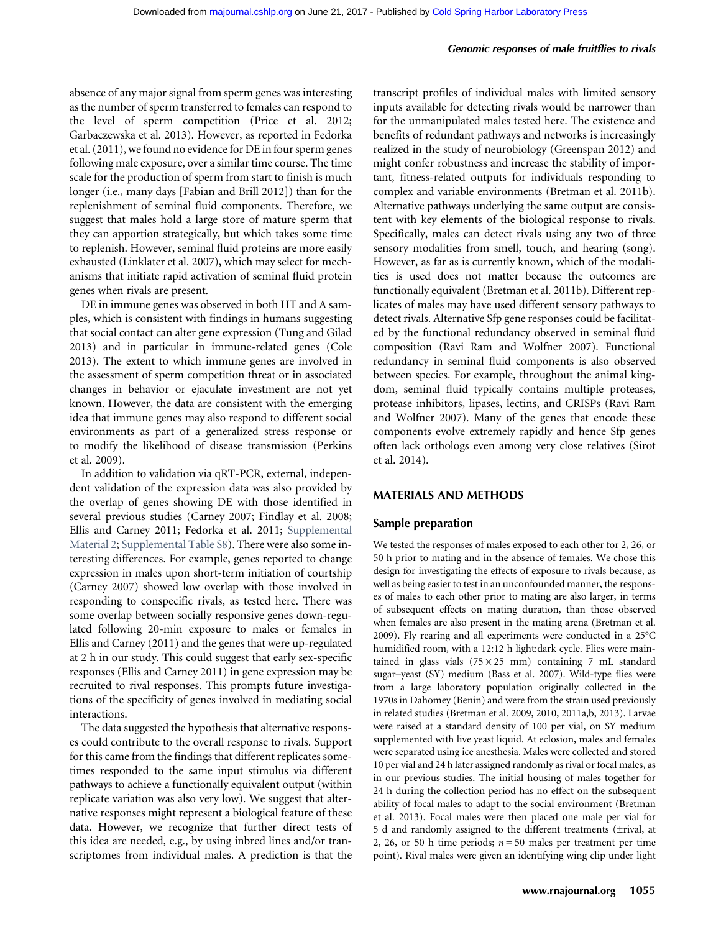absence of any major signal from sperm genes was interesting as the number of sperm transferred to females can respond to the level of sperm competition (Price et al. 2012; Garbaczewska et al. 2013). However, as reported in Fedorka et al. (2011), we found no evidence for DE in four sperm genes following male exposure, over a similar time course. The time scale for the production of sperm from start to finish is much longer (i.e., many days [Fabian and Brill 2012]) than for the replenishment of seminal fluid components. Therefore, we suggest that males hold a large store of mature sperm that they can apportion strategically, but which takes some time to replenish. However, seminal fluid proteins are more easily exhausted (Linklater et al. 2007), which may select for mechanisms that initiate rapid activation of seminal fluid protein genes when rivals are present.

DE in immune genes was observed in both HT and A samples, which is consistent with findings in humans suggesting that social contact can alter gene expression (Tung and Gilad 2013) and in particular in immune-related genes (Cole 2013). The extent to which immune genes are involved in the assessment of sperm competition threat or in associated changes in behavior or ejaculate investment are not yet known. However, the data are consistent with the emerging idea that immune genes may also respond to different social environments as part of a generalized stress response or to modify the likelihood of disease transmission (Perkins et al. 2009).

In addition to validation via qRT-PCR, external, independent validation of the expression data was also provided by the overlap of genes showing DE with those identified in several previous studies (Carney 2007; Findlay et al. 2008; Ellis and Carney 2011; Fedorka et al. 2011; [Supplemental](http://www.rnajournal.org/lookup/suppl/doi:10.1261/rna.059246.116/-/DC1) [Material 2;](http://www.rnajournal.org/lookup/suppl/doi:10.1261/rna.059246.116/-/DC1) [Supplemental Table S8](http://www.rnajournal.org/lookup/suppl/doi:10.1261/rna.059246.116/-/DC1)). There were also some interesting differences. For example, genes reported to change expression in males upon short-term initiation of courtship (Carney 2007) showed low overlap with those involved in responding to conspecific rivals, as tested here. There was some overlap between socially responsive genes down-regulated following 20-min exposure to males or females in Ellis and Carney (2011) and the genes that were up-regulated at 2 h in our study. This could suggest that early sex-specific responses (Ellis and Carney 2011) in gene expression may be recruited to rival responses. This prompts future investigations of the specificity of genes involved in mediating social interactions.

The data suggested the hypothesis that alternative responses could contribute to the overall response to rivals. Support for this came from the findings that different replicates sometimes responded to the same input stimulus via different pathways to achieve a functionally equivalent output (within replicate variation was also very low). We suggest that alternative responses might represent a biological feature of these data. However, we recognize that further direct tests of this idea are needed, e.g., by using inbred lines and/or transcriptomes from individual males. A prediction is that the

transcript profiles of individual males with limited sensory inputs available for detecting rivals would be narrower than for the unmanipulated males tested here. The existence and benefits of redundant pathways and networks is increasingly realized in the study of neurobiology (Greenspan 2012) and might confer robustness and increase the stability of important, fitness-related outputs for individuals responding to complex and variable environments (Bretman et al. 2011b). Alternative pathways underlying the same output are consistent with key elements of the biological response to rivals. Specifically, males can detect rivals using any two of three sensory modalities from smell, touch, and hearing (song). However, as far as is currently known, which of the modalities is used does not matter because the outcomes are functionally equivalent (Bretman et al. 2011b). Different replicates of males may have used different sensory pathways to detect rivals. Alternative Sfp gene responses could be facilitated by the functional redundancy observed in seminal fluid composition (Ravi Ram and Wolfner 2007). Functional redundancy in seminal fluid components is also observed between species. For example, throughout the animal kingdom, seminal fluid typically contains multiple proteases, protease inhibitors, lipases, lectins, and CRISPs (Ravi Ram and Wolfner 2007). Many of the genes that encode these components evolve extremely rapidly and hence Sfp genes often lack orthologs even among very close relatives (Sirot et al. 2014).

#### MATERIALS AND METHODS

#### Sample preparation

We tested the responses of males exposed to each other for 2, 26, or 50 h prior to mating and in the absence of females. We chose this design for investigating the effects of exposure to rivals because, as well as being easier to test in an unconfounded manner, the responses of males to each other prior to mating are also larger, in terms of subsequent effects on mating duration, than those observed when females are also present in the mating arena (Bretman et al. 2009). Fly rearing and all experiments were conducted in a 25°C humidified room, with a 12:12 h light:dark cycle. Flies were maintained in glass vials  $(75 \times 25 \text{ mm})$  containing 7 mL standard sugar–yeast (SY) medium (Bass et al. 2007). Wild-type flies were from a large laboratory population originally collected in the 1970s in Dahomey (Benin) and were from the strain used previously in related studies (Bretman et al. 2009, 2010, 2011a,b, 2013). Larvae were raised at a standard density of 100 per vial, on SY medium supplemented with live yeast liquid. At eclosion, males and females were separated using ice anesthesia. Males were collected and stored 10 per vial and 24 h later assigned randomly as rival or focal males, as in our previous studies. The initial housing of males together for 24 h during the collection period has no effect on the subsequent ability of focal males to adapt to the social environment (Bretman et al. 2013). Focal males were then placed one male per vial for 5 d and randomly assigned to the different treatments (±rival, at 2, 26, or 50 h time periods;  $n = 50$  males per treatment per time point). Rival males were given an identifying wing clip under light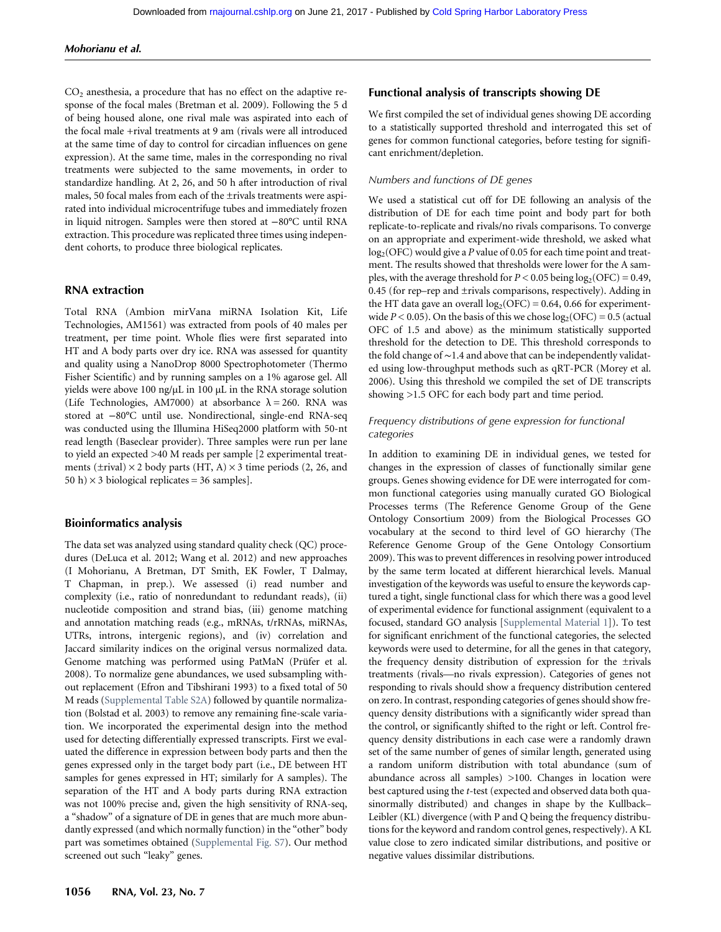$CO<sub>2</sub>$  anesthesia, a procedure that has no effect on the adaptive response of the focal males (Bretman et al. 2009). Following the 5 d of being housed alone, one rival male was aspirated into each of the focal male +rival treatments at 9 am (rivals were all introduced at the same time of day to control for circadian influences on gene expression). At the same time, males in the corresponding no rival treatments were subjected to the same movements, in order to standardize handling. At 2, 26, and 50 h after introduction of rival males, 50 focal males from each of the ±rivals treatments were aspirated into individual microcentrifuge tubes and immediately frozen in liquid nitrogen. Samples were then stored at −80°C until RNA extraction. This procedure was replicated three times using independent cohorts, to produce three biological replicates.

#### RNA extraction

Total RNA (Ambion mirVana miRNA Isolation Kit, Life Technologies, AM1561) was extracted from pools of 40 males per treatment, per time point. Whole flies were first separated into HT and A body parts over dry ice. RNA was assessed for quantity and quality using a NanoDrop 8000 Spectrophotometer (Thermo Fisher Scientific) and by running samples on a 1% agarose gel. All yields were above 100 ng/µL in 100 µL in the RNA storage solution (Life Technologies, AM7000) at absorbance  $\lambda = 260$ . RNA was stored at −80°C until use. Nondirectional, single-end RNA-seq was conducted using the Illumina HiSeq2000 platform with 50-nt read length (Baseclear provider). Three samples were run per lane to yield an expected >40 M reads per sample [2 experimental treatments ( $\pm$ rival)  $\times$  2 body parts (HT, A)  $\times$  3 time periods (2, 26, and 50 h)  $\times$  3 biological replicates = 36 samples].

#### Bioinformatics analysis

The data set was analyzed using standard quality check (QC) procedures (DeLuca et al. 2012; Wang et al. 2012) and new approaches (I Mohorianu, A Bretman, DT Smith, EK Fowler, T Dalmay, T Chapman, in prep.). We assessed (i) read number and complexity (i.e., ratio of nonredundant to redundant reads), (ii) nucleotide composition and strand bias, (iii) genome matching and annotation matching reads (e.g., mRNAs, t/rRNAs, miRNAs, UTRs, introns, intergenic regions), and (iv) correlation and Jaccard similarity indices on the original versus normalized data. Genome matching was performed using PatMaN (Prüfer et al. 2008). To normalize gene abundances, we used subsampling without replacement (Efron and Tibshirani 1993) to a fixed total of 50 M reads ([Supplemental Table S2A](http://www.rnajournal.org/lookup/suppl/doi:10.1261/rna.059246.116/-/DC1)) followed by quantile normalization (Bolstad et al. 2003) to remove any remaining fine-scale variation. We incorporated the experimental design into the method used for detecting differentially expressed transcripts. First we evaluated the difference in expression between body parts and then the genes expressed only in the target body part (i.e., DE between HT samples for genes expressed in HT; similarly for A samples). The separation of the HT and A body parts during RNA extraction was not 100% precise and, given the high sensitivity of RNA-seq, a "shadow" of a signature of DE in genes that are much more abundantly expressed (and which normally function) in the "other" body part was sometimes obtained ([Supplemental Fig. S7\)](http://www.rnajournal.org/lookup/suppl/doi:10.1261/rna.059246.116/-/DC1). Our method screened out such "leaky" genes.

## Functional analysis of transcripts showing DE

We first compiled the set of individual genes showing DE according to a statistically supported threshold and interrogated this set of genes for common functional categories, before testing for significant enrichment/depletion.

## Numbers and functions of DE genes

We used a statistical cut off for DE following an analysis of the distribution of DE for each time point and body part for both replicate-to-replicate and rivals/no rivals comparisons. To converge on an appropriate and experiment-wide threshold, we asked what  $log_2(OFC)$  would give a P value of 0.05 for each time point and treatment. The results showed that thresholds were lower for the A samples, with the average threshold for  $P < 0.05$  being  $log_2(\text{OFC}) = 0.49$ , 0.45 (for rep–rep and ±rivals comparisons, respectively). Adding in the HT data gave an overall  $log_2(OFC) = 0.64$ , 0.66 for experimentwide  $P < 0.05$ ). On the basis of this we chose  $log_2(OFC) = 0.5$  (actual OFC of 1.5 and above) as the minimum statistically supported threshold for the detection to DE. This threshold corresponds to the fold change of ∼1.4 and above that can be independently validated using low-throughput methods such as qRT-PCR (Morey et al. 2006). Using this threshold we compiled the set of DE transcripts showing >1.5 OFC for each body part and time period.

### Frequency distributions of gene expression for functional categories

In addition to examining DE in individual genes, we tested for changes in the expression of classes of functionally similar gene groups. Genes showing evidence for DE were interrogated for common functional categories using manually curated GO Biological Processes terms (The Reference Genome Group of the Gene Ontology Consortium 2009) from the Biological Processes GO vocabulary at the second to third level of GO hierarchy (The Reference Genome Group of the Gene Ontology Consortium 2009). This was to prevent differences in resolving power introduced by the same term located at different hierarchical levels. Manual investigation of the keywords was useful to ensure the keywords captured a tight, single functional class for which there was a good level of experimental evidence for functional assignment (equivalent to a focused, standard GO analysis [[Supplemental Material 1\]](http://www.rnajournal.org/lookup/suppl/doi:10.1261/rna.059246.116/-/DC1)). To test for significant enrichment of the functional categories, the selected keywords were used to determine, for all the genes in that category, the frequency density distribution of expression for the ±rivals treatments (rivals—no rivals expression). Categories of genes not responding to rivals should show a frequency distribution centered on zero. In contrast, responding categories of genes should show frequency density distributions with a significantly wider spread than the control, or significantly shifted to the right or left. Control frequency density distributions in each case were a randomly drawn set of the same number of genes of similar length, generated using a random uniform distribution with total abundance (sum of abundance across all samples) >100. Changes in location were best captured using the t-test (expected and observed data both quasinormally distributed) and changes in shape by the Kullback– Leibler (KL) divergence (with P and Q being the frequency distributions for the keyword and random control genes, respectively). A KL value close to zero indicated similar distributions, and positive or negative values dissimilar distributions.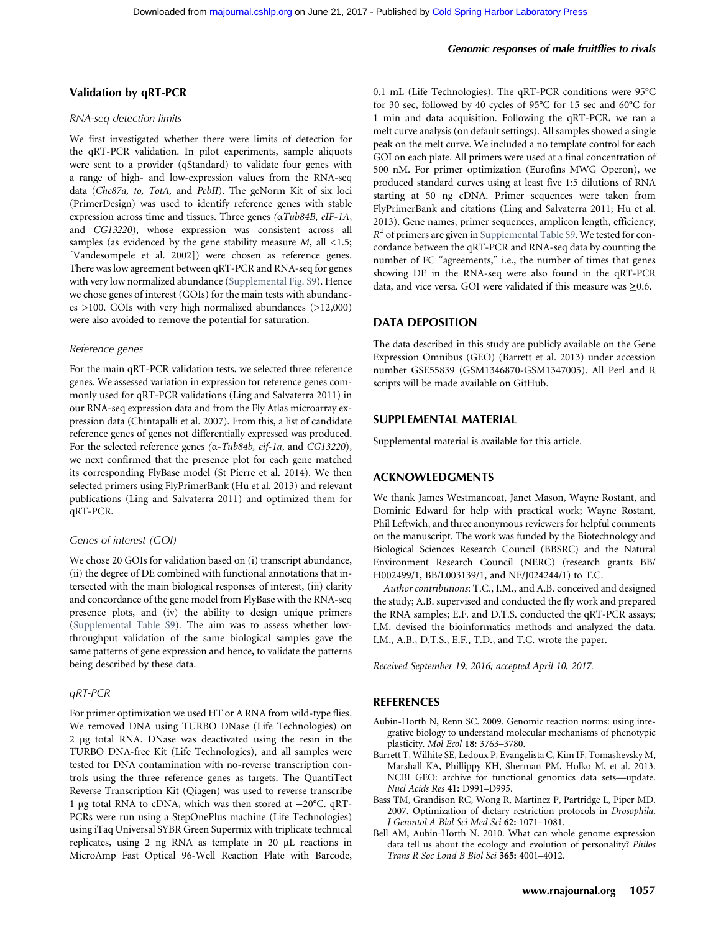### Validation by qRT-PCR

#### RNA-seq detection limits

We first investigated whether there were limits of detection for the qRT-PCR validation. In pilot experiments, sample aliquots were sent to a provider (qStandard) to validate four genes with a range of high- and low-expression values from the RNA-seq data (Che87a, to, TotA, and PebII). The geNorm Kit of six loci (PrimerDesign) was used to identify reference genes with stable expression across time and tissues. Three genes (αTub84B, eIF-1A, and CG13220), whose expression was consistent across all samples (as evidenced by the gene stability measure  $M$ , all <1.5; [Vandesompele et al. 2002]) were chosen as reference genes. There was low agreement between qRT-PCR and RNA-seq for genes with very low normalized abundance [\(Supplemental Fig. S9\)](http://www.rnajournal.org/lookup/suppl/doi:10.1261/rna.059246.116/-/DC1). Hence we chose genes of interest (GOIs) for the main tests with abundanc $es$  >100. GOIs with very high normalized abundances (>12,000) were also avoided to remove the potential for saturation.

#### Reference genes

For the main qRT-PCR validation tests, we selected three reference genes. We assessed variation in expression for reference genes commonly used for qRT-PCR validations (Ling and Salvaterra 2011) in our RNA-seq expression data and from the Fly Atlas microarray expression data (Chintapalli et al. 2007). From this, a list of candidate reference genes of genes not differentially expressed was produced. For the selected reference genes (α-Tub84b, eif-1a, and CG13220), we next confirmed that the presence plot for each gene matched its corresponding FlyBase model (St Pierre et al. 2014). We then selected primers using FlyPrimerBank (Hu et al. 2013) and relevant publications (Ling and Salvaterra 2011) and optimized them for qRT-PCR.

#### Genes of interest (GOI)

We chose 20 GOIs for validation based on (i) transcript abundance, (ii) the degree of DE combined with functional annotations that intersected with the main biological responses of interest, (iii) clarity and concordance of the gene model from FlyBase with the RNA-seq presence plots, and (iv) the ability to design unique primers [\(Supplemental Table S9\)](http://www.rnajournal.org/lookup/suppl/doi:10.1261/rna.059246.116/-/DC1). The aim was to assess whether lowthroughput validation of the same biological samples gave the same patterns of gene expression and hence, to validate the patterns being described by these data.

#### qRT-PCR

For primer optimization we used HT or A RNA from wild-type flies. We removed DNA using TURBO DNase (Life Technologies) on 2 µg total RNA. DNase was deactivated using the resin in the TURBO DNA-free Kit (Life Technologies), and all samples were tested for DNA contamination with no-reverse transcription controls using the three reference genes as targets. The QuantiTect Reverse Transcription Kit (Qiagen) was used to reverse transcribe 1 µg total RNA to cDNA, which was then stored at −20°C. qRT-PCRs were run using a StepOnePlus machine (Life Technologies) using iTaq Universal SYBR Green Supermix with triplicate technical replicates, using 2 ng RNA as template in 20 µL reactions in MicroAmp Fast Optical 96-Well Reaction Plate with Barcode,

0.1 mL (Life Technologies). The qRT-PCR conditions were 95°C for 30 sec, followed by 40 cycles of 95°C for 15 sec and 60°C for 1 min and data acquisition. Following the qRT-PCR, we ran a melt curve analysis (on default settings). All samples showed a single peak on the melt curve. We included a no template control for each GOI on each plate. All primers were used at a final concentration of 500 nM. For primer optimization (Eurofins MWG Operon), we produced standard curves using at least five 1:5 dilutions of RNA starting at 50 ng cDNA. Primer sequences were taken from FlyPrimerBank and citations (Ling and Salvaterra 2011; Hu et al. 2013). Gene names, primer sequences, amplicon length, efficiency,  $R^2$  of primers are given in [Supplemental Table S9.](http://www.rnajournal.org/lookup/suppl/doi:10.1261/rna.059246.116/-/DC1) We tested for concordance between the qRT-PCR and RNA-seq data by counting the number of FC "agreements," i.e., the number of times that genes showing DE in the RNA-seq were also found in the qRT-PCR data, and vice versa. GOI were validated if this measure was  $\geq 0.6$ .

#### DATA DEPOSITION

The data described in this study are publicly available on the Gene Expression Omnibus (GEO) (Barrett et al. 2013) under accession number GSE55839 (GSM1346870-GSM1347005). All Perl and R scripts will be made available on GitHub.

### SUPPLEMENTAL MATERIAL

Supplemental material is available for this article.

#### ACKNOWLEDGMENTS

We thank James Westmancoat, Janet Mason, Wayne Rostant, and Dominic Edward for help with practical work; Wayne Rostant, Phil Leftwich, and three anonymous reviewers for helpful comments on the manuscript. The work was funded by the Biotechnology and Biological Sciences Research Council (BBSRC) and the Natural Environment Research Council (NERC) (research grants BB/ H002499/1, BB/L003139/1, and NE/J024244/1) to T.C.

Author contributions: T.C., I.M., and A.B. conceived and designed the study; A.B. supervised and conducted the fly work and prepared the RNA samples; E.F. and D.T.S. conducted the qRT-PCR assays; I.M. devised the bioinformatics methods and analyzed the data. I.M., A.B., D.T.S., E.F., T.D., and T.C. wrote the paper.

Received September 19, 2016; accepted April 10, 2017.

#### REFERENCES

- Aubin-Horth N, Renn SC. 2009. Genomic reaction norms: using integrative biology to understand molecular mechanisms of phenotypic plasticity. Mol Ecol 18: 3763–3780.
- Barrett T, Wilhite SE, Ledoux P, Evangelista C, Kim IF, Tomashevsky M, Marshall KA, Phillippy KH, Sherman PM, Holko M, et al. 2013. NCBI GEO: archive for functional genomics data sets—update. Nucl Acids Res 41: D991–D995.
- Bass TM, Grandison RC, Wong R, Martinez P, Partridge L, Piper MD. 2007. Optimization of dietary restriction protocols in Drosophila. J Gerontol A Biol Sci Med Sci 62: 1071–1081.
- Bell AM, Aubin-Horth N. 2010. What can whole genome expression data tell us about the ecology and evolution of personality? Philos Trans R Soc Lond B Biol Sci 365: 4001–4012.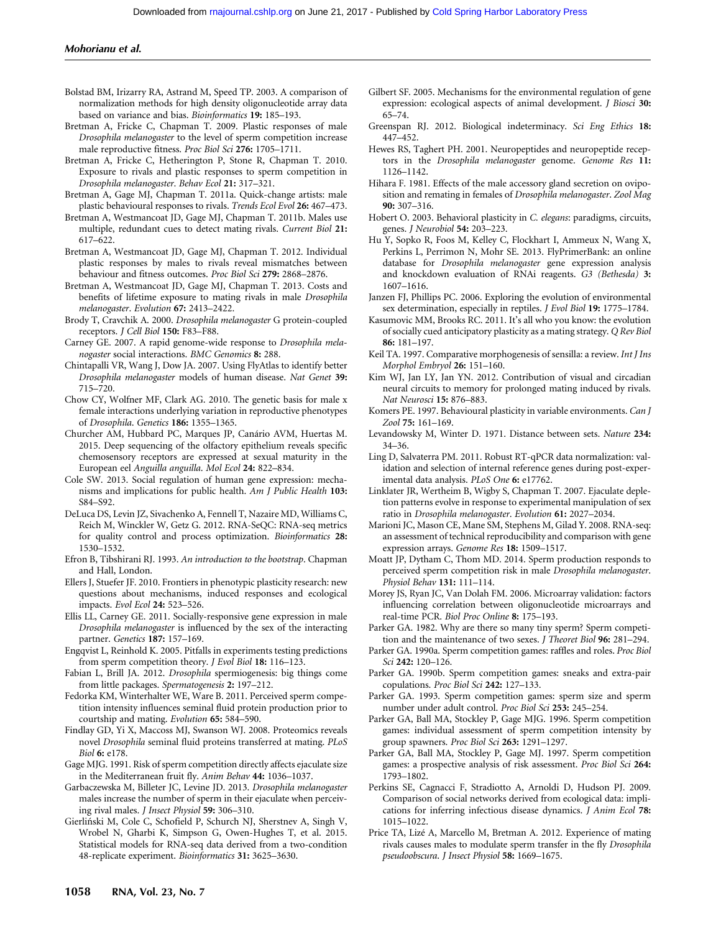## Mohorianu et al.

- Bolstad BM, Irizarry RA, Astrand M, Speed TP. 2003. A comparison of normalization methods for high density oligonucleotide array data based on variance and bias. Bioinformatics 19: 185–193.
- Bretman A, Fricke C, Chapman T. 2009. Plastic responses of male Drosophila melanogaster to the level of sperm competition increase male reproductive fitness. Proc Biol Sci 276: 1705–1711.
- Bretman A, Fricke C, Hetherington P, Stone R, Chapman T. 2010. Exposure to rivals and plastic responses to sperm competition in Drosophila melanogaster. Behav Ecol 21: 317–321.
- Bretman A, Gage MJ, Chapman T. 2011a. Quick-change artists: male plastic behavioural responses to rivals. Trends Ecol Evol 26: 467–473.
- Bretman A, Westmancoat JD, Gage MJ, Chapman T. 2011b. Males use multiple, redundant cues to detect mating rivals. Current Biol 21: 617–622.
- Bretman A, Westmancoat JD, Gage MJ, Chapman T. 2012. Individual plastic responses by males to rivals reveal mismatches between behaviour and fitness outcomes. Proc Biol Sci 279: 2868–2876.
- Bretman A, Westmancoat JD, Gage MJ, Chapman T. 2013. Costs and benefits of lifetime exposure to mating rivals in male Drosophila melanogaster. Evolution 67: 2413–2422.
- Brody T, Cravchik A. 2000. Drosophila melanogaster G protein-coupled receptors. J Cell Biol 150: F83–F88.
- Carney GE. 2007. A rapid genome-wide response to Drosophila melanogaster social interactions. BMC Genomics 8: 288.
- Chintapalli VR, Wang J, Dow JA. 2007. Using FlyAtlas to identify better Drosophila melanogaster models of human disease. Nat Genet 39: 715–720.
- Chow CY, Wolfner MF, Clark AG. 2010. The genetic basis for male x female interactions underlying variation in reproductive phenotypes of Drosophila. Genetics 186: 1355–1365.
- Churcher AM, Hubbard PC, Marques JP, Canário AVM, Huertas M. 2015. Deep sequencing of the olfactory epithelium reveals specific chemosensory receptors are expressed at sexual maturity in the European eel Anguilla anguilla. Mol Ecol 24: 822–834.
- Cole SW. 2013. Social regulation of human gene expression: mechanisms and implications for public health. Am J Public Health 103: S84–S92.
- DeLuca DS, Levin JZ, Sivachenko A, Fennell T, Nazaire MD, Williams C, Reich M, Winckler W, Getz G. 2012. RNA-SeQC: RNA-seq metrics for quality control and process optimization. Bioinformatics 28: 1530–1532.
- Efron B, Tibshirani RJ. 1993. An introduction to the bootstrap. Chapman and Hall, London.
- Ellers J, Stuefer JF. 2010. Frontiers in phenotypic plasticity research: new questions about mechanisms, induced responses and ecological impacts. Evol Ecol 24: 523–526.
- Ellis LL, Carney GE. 2011. Socially-responsive gene expression in male Drosophila melanogaster is influenced by the sex of the interacting partner. Genetics 187: 157-169.
- Engqvist L, Reinhold K. 2005. Pitfalls in experiments testing predictions from sperm competition theory. *J Evol Biol* 18: 116–123.
- Fabian L, Brill JA. 2012. Drosophila spermiogenesis: big things come from little packages. Spermatogenesis 2: 197–212.
- Fedorka KM, Winterhalter WE, Ware B. 2011. Perceived sperm competition intensity influences seminal fluid protein production prior to courtship and mating. Evolution 65: 584–590.
- Findlay GD, Yi X, Maccoss MJ, Swanson WJ. 2008. Proteomics reveals novel Drosophila seminal fluid proteins transferred at mating. PLoS Biol 6: e178.
- Gage MJG. 1991. Risk of sperm competition directly affects ejaculate size in the Mediterranean fruit fly. Anim Behav 44: 1036-1037.
- Garbaczewska M, Billeter JC, Levine JD. 2013. Drosophila melanogaster males increase the number of sperm in their ejaculate when perceiving rival males. J Insect Physiol 59: 306–310.
- Gierliń ski M, Cole C, Schofield P, Schurch NJ, Sherstnev A, Singh V, Wrobel N, Gharbi K, Simpson G, Owen-Hughes T, et al. 2015. Statistical models for RNA-seq data derived from a two-condition 48-replicate experiment. Bioinformatics 31: 3625–3630.
- Gilbert SF. 2005. Mechanisms for the environmental regulation of gene expression: ecological aspects of animal development. J Biosci 30: 65–74.
- Greenspan RJ. 2012. Biological indeterminacy. Sci Eng Ethics 18: 447–452.
- Hewes RS, Taghert PH. 2001. Neuropeptides and neuropeptide receptors in the Drosophila melanogaster genome. Genome Res 11: 1126–1142.
- Hihara F. 1981. Effects of the male accessory gland secretion on oviposition and remating in females of Drosophila melanogaster. Zool Mag 90: 307–316.
- Hobert O. 2003. Behavioral plasticity in C. elegans: paradigms, circuits, genes. J Neurobiol 54: 203–223.
- Hu Y, Sopko R, Foos M, Kelley C, Flockhart I, Ammeux N, Wang X, Perkins L, Perrimon N, Mohr SE. 2013. FlyPrimerBank: an online database for Drosophila melanogaster gene expression analysis and knockdown evaluation of RNAi reagents. G3 (Bethesda) 3: 1607–1616.
- Janzen FJ, Phillips PC. 2006. Exploring the evolution of environmental sex determination, especially in reptiles. J Evol Biol 19: 1775–1784.
- Kasumovic MM, Brooks RC. 2011. It's all who you know: the evolution of socially cued anticipatory plasticity as a mating strategy. Q Rev Biol 86: 181–197.
- Keil TA. 1997. Comparative morphogenesis of sensilla: a review. Int J Ins Morphol Embryol 26: 151–160.
- Kim WJ, Jan LY, Jan YN. 2012. Contribution of visual and circadian neural circuits to memory for prolonged mating induced by rivals. Nat Neurosci 15: 876–883.
- Komers PE. 1997. Behavioural plasticity in variable environments. Can J Zool 75: 161–169.
- Levandowsky M, Winter D. 1971. Distance between sets. Nature 234: 34–36.
- Ling D, Salvaterra PM. 2011. Robust RT-qPCR data normalization: validation and selection of internal reference genes during post-experimental data analysis. PLoS One 6: e17762.
- Linklater JR, Wertheim B, Wigby S, Chapman T. 2007. Ejaculate depletion patterns evolve in response to experimental manipulation of sex ratio in Drosophila melanogaster. Evolution 61: 2027–2034.
- Marioni JC, Mason CE, Mane SM, Stephens M, Gilad Y. 2008. RNA-seq: an assessment of technical reproducibility and comparison with gene expression arrays. Genome Res 18: 1509–1517.
- Moatt JP, Dytham C, Thom MD. 2014. Sperm production responds to perceived sperm competition risk in male Drosophila melanogaster. Physiol Behav 131: 111–114.
- Morey JS, Ryan JC, Van Dolah FM. 2006. Microarray validation: factors influencing correlation between oligonucleotide microarrays and real-time PCR. Biol Proc Online 8: 175–193.
- Parker GA. 1982. Why are there so many tiny sperm? Sperm competition and the maintenance of two sexes. J Theoret Biol 96: 281–294.
- Parker GA. 1990a. Sperm competition games: raffles and roles. Proc Biol Sci 242: 120–126.
- Parker GA. 1990b. Sperm competition games: sneaks and extra-pair copulations. Proc Biol Sci 242: 127–133.
- Parker GA. 1993. Sperm competition games: sperm size and sperm number under adult control. Proc Biol Sci 253: 245–254.
- Parker GA, Ball MA, Stockley P, Gage MJG. 1996. Sperm competition games: individual assessment of sperm competition intensity by group spawners. Proc Biol Sci 263: 1291–1297.
- Parker GA, Ball MA, Stockley P, Gage MJ. 1997. Sperm competition games: a prospective analysis of risk assessment. Proc Biol Sci 264: 1793–1802.
- Perkins SE, Cagnacci F, Stradiotto A, Arnoldi D, Hudson PJ. 2009. Comparison of social networks derived from ecological data: implications for inferring infectious disease dynamics. J Anim Ecol 78: 1015–1022.
- Price TA, Lizé A, Marcello M, Bretman A. 2012. Experience of mating rivals causes males to modulate sperm transfer in the fly Drosophila pseudoobscura. J Insect Physiol 58: 1669–1675.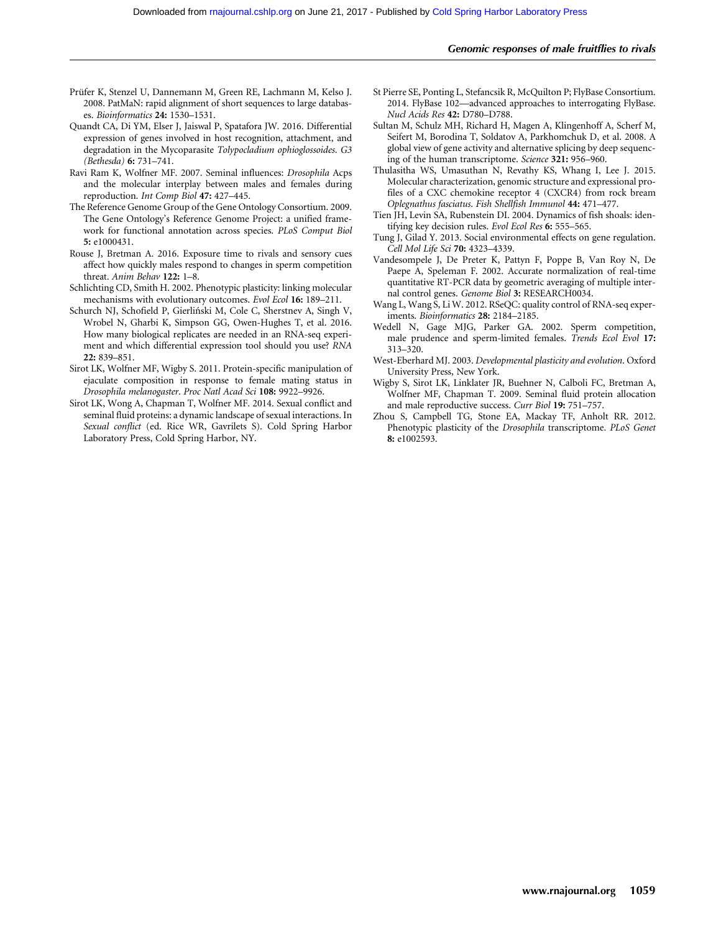- Prüfer K, Stenzel U, Dannemann M, Green RE, Lachmann M, Kelso J. 2008. PatMaN: rapid alignment of short sequences to large databases. Bioinformatics 24: 1530–1531.
- Quandt CA, Di YM, Elser J, Jaiswal P, Spatafora JW. 2016. Differential expression of genes involved in host recognition, attachment, and degradation in the Mycoparasite Tolypocladium ophioglossoides. G3 (Bethesda) 6: 731–741.
- Ravi Ram K, Wolfner MF. 2007. Seminal influences: Drosophila Acps and the molecular interplay between males and females during reproduction. Int Comp Biol 47: 427–445.
- The Reference Genome Group of the Gene Ontology Consortium. 2009. The Gene Ontology's Reference Genome Project: a unified framework for functional annotation across species. PLoS Comput Biol 5: e1000431.
- Rouse J, Bretman A. 2016. Exposure time to rivals and sensory cues affect how quickly males respond to changes in sperm competition threat. Anim Behav 122: 1-8.
- Schlichting CD, Smith H. 2002. Phenotypic plasticity: linking molecular mechanisms with evolutionary outcomes. Evol Ecol 16: 189–211.
- Schurch NJ, Schofield P, Gierliński M, Cole C, Sherstnev A, Singh V, Wrobel N, Gharbi K, Simpson GG, Owen-Hughes T, et al. 2016. How many biological replicates are needed in an RNA-seq experiment and which differential expression tool should you use? RNA 22: 839–851.
- Sirot LK, Wolfner MF, Wigby S. 2011. Protein-specific manipulation of ejaculate composition in response to female mating status in Drosophila melanogaster. Proc Natl Acad Sci 108: 9922-9926.
- Sirot LK, Wong A, Chapman T, Wolfner MF. 2014. Sexual conflict and seminal fluid proteins: a dynamic landscape of sexual interactions. In Sexual conflict (ed. Rice WR, Gavrilets S). Cold Spring Harbor Laboratory Press, Cold Spring Harbor, NY.
- St Pierre SE, Ponting L, Stefancsik R, McQuilton P; FlyBase Consortium. 2014. FlyBase 102—advanced approaches to interrogating FlyBase. Nucl Acids Res 42: D780–D788.
- Sultan M, Schulz MH, Richard H, Magen A, Klingenhoff A, Scherf M, Seifert M, Borodina T, Soldatov A, Parkhomchuk D, et al. 2008. A global view of gene activity and alternative splicing by deep sequencing of the human transcriptome. Science 321: 956–960.
- Thulasitha WS, Umasuthan N, Revathy KS, Whang I, Lee J. 2015. Molecular characterization, genomic structure and expressional profiles of a CXC chemokine receptor 4 (CXCR4) from rock bream Oplegnathus fasciatus. Fish Shellfish Immunol 44: 471–477.
- Tien JH, Levin SA, Rubenstein DI. 2004. Dynamics of fish shoals: identifying key decision rules. Evol Ecol Res 6: 555-565.
- Tung J, Gilad Y. 2013. Social environmental effects on gene regulation. Cell Mol Life Sci 70: 4323–4339.
- Vandesompele J, De Preter K, Pattyn F, Poppe B, Van Roy N, De Paepe A, Speleman F. 2002. Accurate normalization of real-time quantitative RT-PCR data by geometric averaging of multiple internal control genes. Genome Biol 3: RESEARCH0034.
- Wang L, Wang S, Li W. 2012. RSeQC: quality control of RNA-seq experiments. Bioinformatics 28: 2184–2185.
- Wedell N, Gage MJG, Parker GA. 2002. Sperm competition, male prudence and sperm-limited females. Trends Ecol Evol 17: 313–320.
- West-Eberhard MJ. 2003. Developmental plasticity and evolution. Oxford University Press, New York.
- Wigby S, Sirot LK, Linklater JR, Buehner N, Calboli FC, Bretman A, Wolfner MF, Chapman T. 2009. Seminal fluid protein allocation and male reproductive success. Curr Biol 19: 751–757.
- Zhou S, Campbell TG, Stone EA, Mackay TF, Anholt RR. 2012. Phenotypic plasticity of the Drosophila transcriptome. PLoS Genet 8: e1002593.